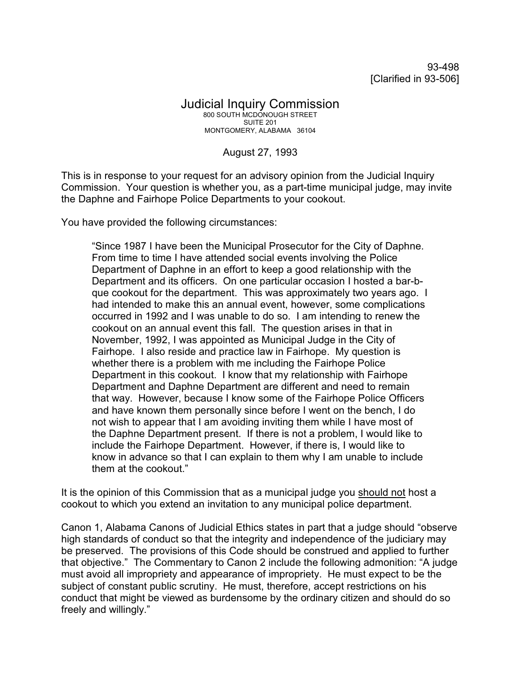93-498 [Clarified in 93-506]

## Judicial Inquiry Commission 800 SOUTH MCDONOUGH STREET SUITE 201 MONTGOMERY, ALABAMA 36104

## August 27, 1993

This is in response to your request for an advisory opinion from the Judicial Inquiry Commission. Your question is whether you, as a part-time municipal judge, may invite the Daphne and Fairhope Police Departments to your cookout.

You have provided the following circumstances:

"Since 1987 I have been the Municipal Prosecutor for the City of Daphne. From time to time I have attended social events involving the Police Department of Daphne in an effort to keep a good relationship with the Department and its officers. On one particular occasion I hosted a bar-bque cookout for the department. This was approximately two years ago. I had intended to make this an annual event, however, some complications occurred in 1992 and I was unable to do so. I am intending to renew the cookout on an annual event this fall. The question arises in that in November, 1992, I was appointed as Municipal Judge in the City of Fairhope. I also reside and practice law in Fairhope. My question is whether there is a problem with me including the Fairhope Police Department in this cookout. I know that my relationship with Fairhope Department and Daphne Department are different and need to remain that way. However, because I know some of the Fairhope Police Officers and have known them personally since before I went on the bench, I do not wish to appear that I am avoiding inviting them while I have most of the Daphne Department present. If there is not a problem, I would like to include the Fairhope Department. However, if there is, I would like to know in advance so that I can explain to them why I am unable to include them at the cookout."

It is the opinion of this Commission that as a municipal judge you should not host a cookout to which you extend an invitation to any municipal police department.

Canon 1, Alabama Canons of Judicial Ethics states in part that a judge should "observe high standards of conduct so that the integrity and independence of the judiciary may be preserved. The provisions of this Code should be construed and applied to further that objective." The Commentary to Canon 2 include the following admonition: "A judge must avoid all impropriety and appearance of impropriety. He must expect to be the subject of constant public scrutiny. He must, therefore, accept restrictions on his conduct that might be viewed as burdensome by the ordinary citizen and should do so freely and willingly."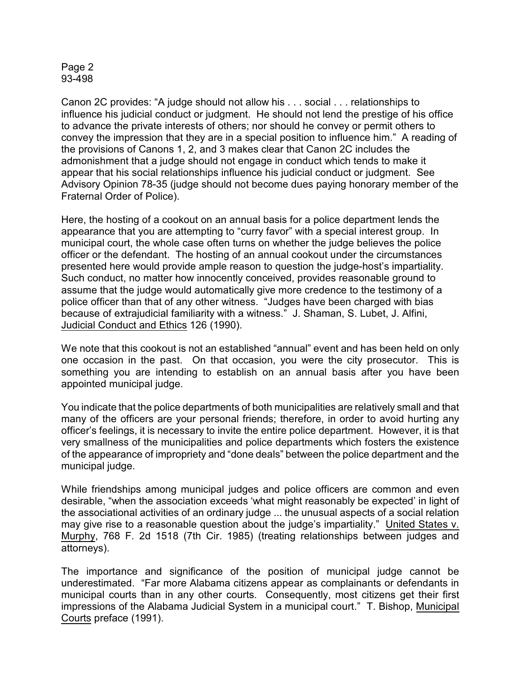## Page 2 93-498

Canon 2C provides: "A judge should not allow his . . . social . . . relationships to influence his judicial conduct or judgment. He should not lend the prestige of his office to advance the private interests of others; nor should he convey or permit others to convey the impression that they are in a special position to influence him." A reading of the provisions of Canons 1, 2, and 3 makes clear that Canon 2C includes the admonishment that a judge should not engage in conduct which tends to make it appear that his social relationships influence his judicial conduct or judgment. See Advisory Opinion 78-35 (judge should not become dues paying honorary member of the Fraternal Order of Police).

Here, the hosting of a cookout on an annual basis for a police department lends the appearance that you are attempting to "curry favor" with a special interest group. In municipal court, the whole case often turns on whether the judge believes the police officer or the defendant. The hosting of an annual cookout under the circumstances presented here would provide ample reason to question the judge-host's impartiality. Such conduct, no matter how innocently conceived, provides reasonable ground to assume that the judge would automatically give more credence to the testimony of a police officer than that of any other witness. "Judges have been charged with bias because of extrajudicial familiarity with a witness." J. Shaman, S. Lubet, J. Alfini, Judicial Conduct and Ethics 126 (1990).

We note that this cookout is not an established "annual" event and has been held on only one occasion in the past. On that occasion, you were the city prosecutor. This is something you are intending to establish on an annual basis after you have been appointed municipal judge.

You indicate that the police departments of both municipalities are relatively small and that many of the officers are your personal friends; therefore, in order to avoid hurting any officer's feelings, it is necessary to invite the entire police department. However, it is that very smallness of the municipalities and police departments which fosters the existence of the appearance of impropriety and "done deals" between the police department and the municipal judge.

While friendships among municipal judges and police officers are common and even desirable, "when the association exceeds 'what might reasonably be expected' in light of the associational activities of an ordinary judge ... the unusual aspects of a social relation may give rise to a reasonable question about the judge's impartiality." United States v. Murphy, 768 F. 2d 1518 (7th Cir. 1985) (treating relationships between judges and attorneys).

The importance and significance of the position of municipal judge cannot be underestimated. "Far more Alabama citizens appear as complainants or defendants in municipal courts than in any other courts. Consequently, most citizens get their first impressions of the Alabama Judicial System in a municipal court." T. Bishop, Municipal Courts preface (1991).